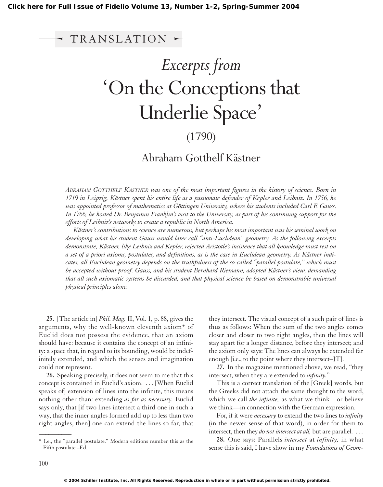## I Issue of Fidelio Volume 1:<br>TRANSLATION<br>Conthe *Excerpts from* 'On the Conceptions that Underlie Space' (1790)

## Abraham Gotthelf Kästner

*ABRAHAM GOTTHELF KÄSTNER was one of the most important figures in the history of science. Born in 1719 in Leipzig, Kästner spent his entire life as a passionate defender of Kepler and Leibniz. In 1756, he was appointed professor of mathematics at Göttingen University, where his students included Carl F. Gauss. In 1766, he hosted Dr. Benjamin Franklin's visit to the University, as part of his continuing support for the efforts of Leibniz's networks to create a republic in North America.*

*Kästner's contributions to science are numerous, but perhaps his most important was his seminal work on developing what his student Gauss would later call "anti-Euclidean" geometry. As the following excerpts demonstrate, Kästner, like Leibniz and Kepler, rejected Aristotle's insistence that all knowledge must rest on a set of a priori axioms, postulates, and definitions, as is the case in Euclidean geometry. As Kästner indicates, all Euclidean geometry depends on the truthfulness of the so-called "parallel postulate," which must be accepted without proof. Gauss, and his student Bernhard Riemann, adopted Kästner's view, demanding that all such axiomatic systems be discarded, and that physical science be based on demonstrable universal physical principles alone.*

**25.** [The article in] *Phil. Mag.* II, Vol. 1, p. 88, gives the arguments, why the well-known eleventh axiom\* of Euclid does not possess the evidence, that an axiom should have: because it contains the concept of an infinity: a space that, in regard to its bounding, would be indefinitely extended, and which the senses and imagination could not represent.

**26.** Speaking precisely, it does not seem to me that this concept is contained in Euclid's axiom. . . . [When Euclid speaks of] extension of lines into the infinite, this means nothing other than: extending *as far as necessary.* Euclid says only, that [if two lines intersect a third one in such a way, that the inner angles formed add up to less than two right angles, then] one can extend the lines so far, that

they intersect. The visual concept of a such pair of lines is thus as follows: When the sum of the two angles comes closer and closer to two right angles, then the lines will stay apart for a longer distance, before they intersect; and the axiom only says: The lines can always be extended far enough [i.e., to the point where they intersect–JT].

**27.** In the magazine mentioned above, we read, "they intersect, when they are extended to *infinity.*"

This is a correct translation of the [Greek] words, but the Greeks did not attach the same thought to the word, which we call *the infinite,* as what we think—or believe we think—in connection with the German expression.

For, if it were *necessary* to extend the two lines to *infinity* (in the newer sense of that word), in order for them to intersect, then they *do not intersect at all,* but are parallel. . . .

**28.** One says: Parallels *intersect* at *infinity;* in what sense this is said, I have show in my *Foundations of Geom-*

 $\overline{\phantom{a}}$ 

<sup>\*</sup> I.e., the "parallel postulate." Modern editions number this as the Fifth postulate.–Ed.